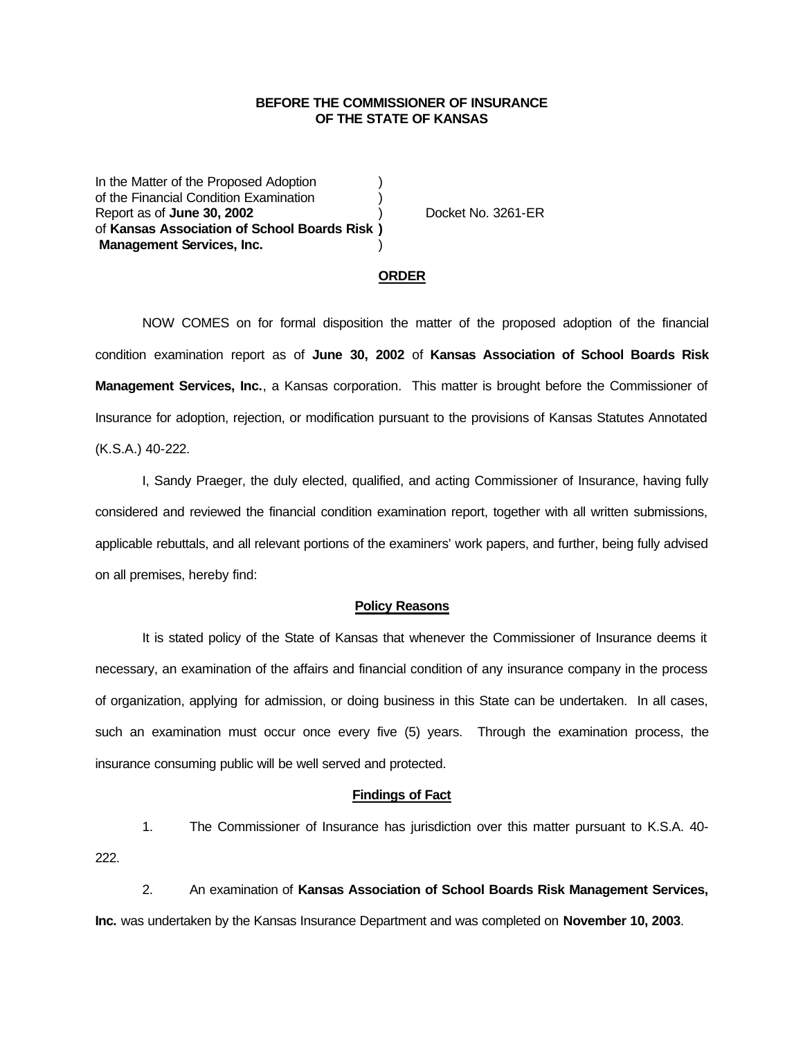### **BEFORE THE COMMISSIONER OF INSURANCE OF THE STATE OF KANSAS**

In the Matter of the Proposed Adoption of the Financial Condition Examination ) Report as of **June 30, 2002** ) Docket No. 3261-ER of **Kansas Association of School Boards Risk ) Management Services, Inc.** )

#### **ORDER**

NOW COMES on for formal disposition the matter of the proposed adoption of the financial condition examination report as of **June 30, 2002** of **Kansas Association of School Boards Risk Management Services, Inc.**, a Kansas corporation. This matter is brought before the Commissioner of Insurance for adoption, rejection, or modification pursuant to the provisions of Kansas Statutes Annotated (K.S.A.) 40-222.

I, Sandy Praeger, the duly elected, qualified, and acting Commissioner of Insurance, having fully considered and reviewed the financial condition examination report, together with all written submissions, applicable rebuttals, and all relevant portions of the examiners' work papers, and further, being fully advised on all premises, hereby find:

### **Policy Reasons**

It is stated policy of the State of Kansas that whenever the Commissioner of Insurance deems it necessary, an examination of the affairs and financial condition of any insurance company in the process of organization, applying for admission, or doing business in this State can be undertaken. In all cases, such an examination must occur once every five (5) years. Through the examination process, the insurance consuming public will be well served and protected.

### **Findings of Fact**

1. The Commissioner of Insurance has jurisdiction over this matter pursuant to K.S.A. 40- 222.

2. An examination of **Kansas Association of School Boards Risk Management Services, Inc.** was undertaken by the Kansas Insurance Department and was completed on **November 10, 2003**.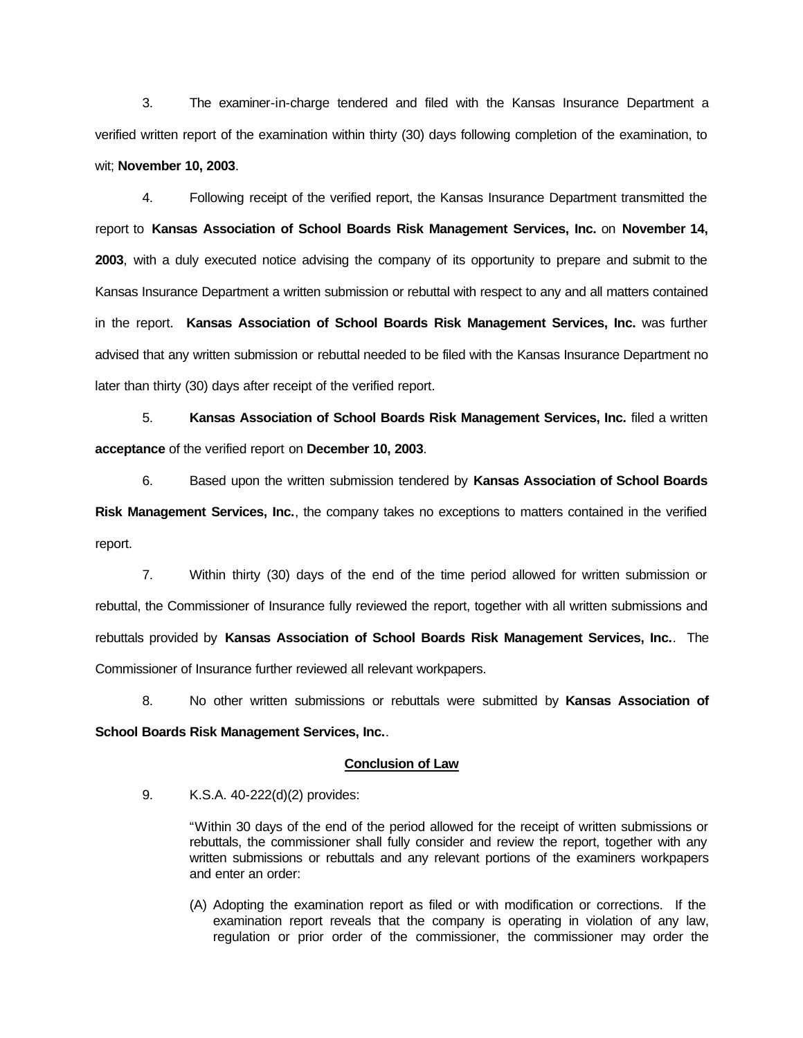3. The examiner-in-charge tendered and filed with the Kansas Insurance Department a verified written report of the examination within thirty (30) days following completion of the examination, to wit; **November 10, 2003**.

4. Following receipt of the verified report, the Kansas Insurance Department transmitted the report to **Kansas Association of School Boards Risk Management Services, Inc.** on **November 14, 2003**, with a duly executed notice advising the company of its opportunity to prepare and submit to the Kansas Insurance Department a written submission or rebuttal with respect to any and all matters contained in the report. **Kansas Association of School Boards Risk Management Services, Inc.** was further advised that any written submission or rebuttal needed to be filed with the Kansas Insurance Department no later than thirty (30) days after receipt of the verified report.

5. **Kansas Association of School Boards Risk Management Services, Inc.** filed a written **acceptance** of the verified report on **December 10, 2003**.

6. Based upon the written submission tendered by **Kansas Association of School Boards Risk Management Services, Inc.**, the company takes no exceptions to matters contained in the verified report.

7. Within thirty (30) days of the end of the time period allowed for written submission or rebuttal, the Commissioner of Insurance fully reviewed the report, together with all written submissions and rebuttals provided by **Kansas Association of School Boards Risk Management Services, Inc.**. The Commissioner of Insurance further reviewed all relevant workpapers.

8. No other written submissions or rebuttals were submitted by **Kansas Association of School Boards Risk Management Services, Inc.**.

# **Conclusion of Law**

9. K.S.A. 40-222(d)(2) provides:

"Within 30 days of the end of the period allowed for the receipt of written submissions or rebuttals, the commissioner shall fully consider and review the report, together with any written submissions or rebuttals and any relevant portions of the examiners workpapers and enter an order:

(A) Adopting the examination report as filed or with modification or corrections. If the examination report reveals that the company is operating in violation of any law, regulation or prior order of the commissioner, the commissioner may order the